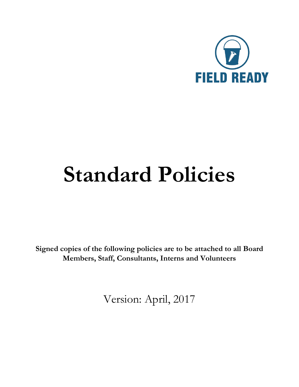

# **Standard Policies**

**Signed copies of the following policies are to be attached to all Board Members, Staff, Consultants, Interns and Volunteers**

Version: April, 2017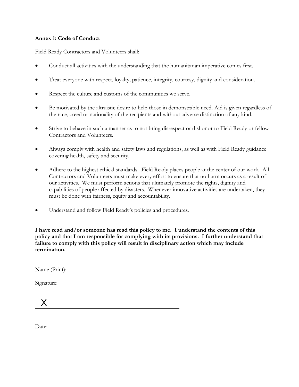## **Annex 1: Code of Conduct**

Field Ready Contractors and Volunteers shall:

- Conduct all activities with the understanding that the humanitarian imperative comes first.
- Treat everyone with respect, loyalty, patience, integrity, courtesy, dignity and consideration.
- Respect the culture and customs of the communities we serve.
- Be motivated by the altruistic desire to help those in demonstrable need. Aid is given regardless of the race, creed or nationality of the recipients and without adverse distinction of any kind.
- Strive to behave in such a manner as to not bring disrespect or dishonor to Field Ready or fellow Contractors and Volunteers.
- Always comply with health and safety laws and regulations, as well as with Field Ready guidance covering health, safety and security.
- Adhere to the highest ethical standards. Field Ready places people at the center of our work. All Contractors and Volunteers must make every effort to ensure that no harm occurs as a result of our activities. We must perform actions that ultimately promote the rights, dignity and capabilities of people affected by disasters. Whenever innovative activities are undertaken, they must be done with fairness, equity and accountability.
- Understand and follow Field Ready's policies and procedures.

**I have read and/or someone has read this policy to me. I understand the contents of this policy and that I am responsible for complying with its provisions. I further understand that failure to comply with this policy will result in disciplinary action which may include termination.** 

Name (Print):

Signature:

 $\chi$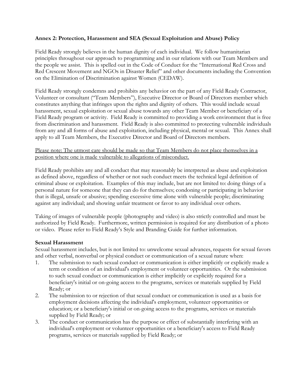## **Annex 2: Protection, Harassment and SEA (Sexual Exploitation and Abuse) Policy**

Field Ready strongly believes in the human dignity of each individual. We follow humanitarian principles throughout our approach to programming and in our relations with our Team Members and the people we assist. This is spelled out in the Code of Conduct for the "International Red Cross and Red Crescent Movement and NGOs in Disaster Relief" and other documents including the Convention on the Elimination of Discrimination against Women (CEDAW).

Field Ready strongly condemns and prohibits any behavior on the part of any Field Ready Contractor, Volunteer or consultant ("Team Members"), Executive Director or Board of Directors member which constitutes anything that infringes upon the rights and dignity of others. This would include sexual harassment, sexual exploitation or sexual abuse towards any other Team Member or beneficiary of a Field Ready program or activity. Field Ready is committed to providing a work environment that is free from discrimination and harassment. Field Ready is also committed to protecting vulnerable individuals from any and all forms of abuse and exploitation, including physical, mental or sexual. This Annex shall apply to all Team Members, the Executive Director and Board of Directors members.

## Please note: The utmost care should be made so that Team Members do not place themselves in a position where one is made vulnerable to allegations of misconduct.

Field Ready prohibits any and all conduct that may reasonably be interpreted as abuse and exploitation as defined above, regardless of whether or not such conduct meets the technical legal definition of criminal abuse or exploitation. Examples of this may include, but are not limited to: doing things of a personal nature for someone that they can do for themselves; condoning or participating in behavior that is illegal, unsafe or abusive; spending excessive time alone with vulnerable people; discriminating against any individual; and showing unfair treatment or favor to any individual over others.

Taking of images of vulnerable people (photography and video) is also strictly controlled and must be authorized by Field Ready. Furthermore, written permission is required for any distribution of a photo or video. Please refer to Field Ready's Style and Branding Guide for further information.

## **Sexual Harassment**

Sexual harassment includes, but is not limited to: unwelcome sexual advances, requests for sexual favors and other verbal, nonverbal or physical conduct or communication of a sexual nature when:

- 1. The submission to such sexual conduct or communication is either implicitly or explicitly made a term or condition of an individual's employment or volunteer opportunities. Or the submission to such sexual conduct or communication is either implicitly or explicitly required for a beneficiary's initial or on-going access to the programs, services or materials supplied by Field Ready; or
- 2. The submission to or rejection of that sexual conduct or communication is used as a basis for employment decisions affecting the individual's employment, volunteer opportunities or education; or a beneficiary's initial or on-going access to the programs, services or materials supplied by Field Ready; or
- 3. The conduct or communication has the purpose or effect of substantially interfering with an individual's employment or volunteer opportunities or a beneficiary's access to Field Ready programs, services or materials supplied by Field Ready; or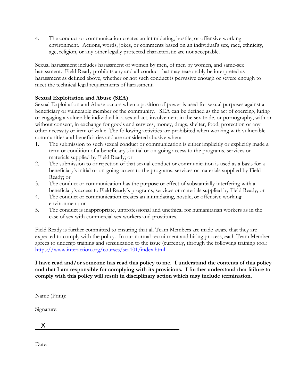4. The conduct or communication creates an intimidating, hostile, or offensive working environment. Actions, words, jokes, or comments based on an individual's sex, race, ethnicity, age, religion, or any other legally protected characteristic are not acceptable.

Sexual harassment includes harassment of women by men, of men by women, and same-sex harassment. Field Ready prohibits any and all conduct that may reasonably be interpreted as harassment as defined above, whether or not such conduct is pervasive enough or severe enough to meet the technical legal requirements of harassment.

# **Sexual Exploitation and Abuse (SEA)**

Sexual Exploitation and Abuse occurs when a position of power is used for sexual purposes against a beneficiary or vulnerable member of the community. SEA can be defined as the act of coercing, luring or engaging a vulnerable individual in a sexual act, involvement in the sex trade, or pornography, with or without consent, in exchange for goods and services, money, drugs, shelter, food, protection or any other necessity or item of value. The following activities are prohibited when working with vulnerable communities and beneficiaries and are considered abusive when:

- 1. The submission to such sexual conduct or communication is either implicitly or explicitly made a term or condition of a beneficiary's initial or on-going access to the programs, services or materials supplied by Field Ready; or
- 2. The submission to or rejection of that sexual conduct or communication is used as a basis for a beneficiary's initial or on-going access to the programs, services or materials supplied by Field Ready; or
- 3. The conduct or communication has the purpose or effect of substantially interfering with a beneficiary's access to Field Ready's programs, services or materials supplied by Field Ready; or
- 4. The conduct or communication creates an intimidating, hostile, or offensive working environment; or
- 5. The conduct is inappropriate, unprofessional and unethical for humanitarian workers as in the case of sex with commercial sex workers and prostitutes.

Field Ready is further committed to ensuring that all Team Members are made aware that they are expected to comply with the policy. In our normal recruitment and hiring process, each Team Member agrees to undergo training and sensitization to the issue (currently, through the following training tool: <https://www.interaction.org/courses/sea101/index.html>

**I have read and/or someone has read this policy to me. I understand the contents of this policy and that I am responsible for complying with its provisions. I further understand that failure to comply with this policy will result in disciplinary action which may include termination.** 

Name (Print):

Signature:

X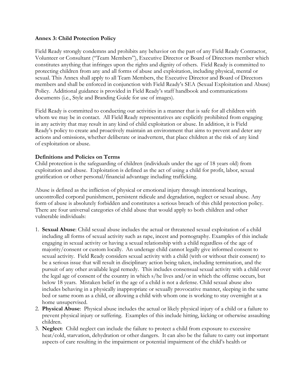#### **Annex 3: Child Protection Policy**

Field Ready strongly condemns and prohibits any behavior on the part of any Field Ready Contractor, Volunteer or Consultant ("Team Members"), Executive Director or Board of Directors member which constitutes anything that infringes upon the rights and dignity of others. Field Ready is committed to protecting children from any and all forms of abuse and exploitation, including physical, mental or sexual. This Annex shall apply to all Team Members, the Executive Director and Board of Directors members and shall be enforced in conjunction with Field Ready's SEA (Sexual Exploitation and Abuse) Policy. Additional guidance is provided in Field Ready's staff handbook and communications documents (i.e., Style and Branding Guide for use of images).

Field Ready is committed to conducting our activities in a manner that is safe for all children with whom we may be in contact. All Field Ready representatives are explicitly prohibited from engaging in any activity that may result in any kind of child exploitation or abuse. In addition, it is Field Ready's policy to create and proactively maintain an environment that aims to prevent and deter any actions and omissions, whether deliberate or inadvertent, that place children at the risk of any kind of exploitation or abuse.

## **Definitions and Policies on Terms**

Child protection is the safeguarding of children (individuals under the age of 18 years old) from exploitation and abuse. Exploitation is defined as the act of using a child for profit, labor, sexual gratification or other personal/financial advantage including trafficking.

Abuse is defined as the infliction of physical or emotional injury through intentional beatings, uncontrolled corporal punishment, persistent ridicule and degradation, neglect or sexual abuse. Any form of abuse is absolutely forbidden and constitutes a serious breach of this child protection policy. There are four universal categories of child abuse that would apply to both children and other vulnerable individuals:

- 1. **Sexual Abuse**: Child sexual abuse includes the actual or threatened sexual exploitation of a child including all forms of sexual activity such as rape, incest and pornography. Examples of this include engaging in sexual activity or having a sexual relationship with a child regardless of the age of majority/consent or custom locally. An underage child cannot legally give informed consent to sexual activity. Field Ready considers sexual activity with a child (with or without their consent) to be a serious issue that will result in disciplinary action being taken, including termination, and the pursuit of any other available legal remedy. This includes consensual sexual activity with a child over the legal age of consent of the country in which s/he lives and/or in which the offense occurs, but below 18 years. Mistaken belief in the age of a child is not a defense. Child sexual abuse also includes behaving in a physically inappropriate or sexually provocative manner, sleeping in the same bed or same room as a child, or allowing a child with whom one is working to stay overnight at a home unsupervised.
- 2. **Physical Abuse**: Physical abuse includes the actual or likely physical injury of a child or a failure to prevent physical injury or suffering. Examples of this include hitting, kicking or otherwise assaulting children.
- 3. **Neglect**: Child neglect can include the failure to protect a child from exposure to excessive heat/cold, starvation, dehydration or other dangers. It can also be the failure to carry out important aspects of care resulting in the impairment or potential impairment of the child's health or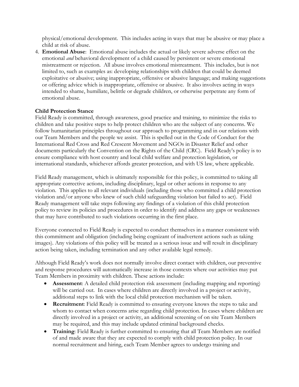physical/emotional development. This includes acting in ways that may be abusive or may place a child at risk of abuse.

4. **Emotional Abuse**: Emotional abuse includes the actual or likely severe adverse effect on the emotional *and* behavioral development of a child caused by persistent or severe emotional mistreatment or rejection. All abuse involves emotional mistreatment. This includes, but is not limited to, such as examples as: developing relationships with children that could be deemed exploitative or abusive; using inappropriate, offensive or abusive language; and making suggestions or offering advice which is inappropriate, offensive or abusive. It also involves acting in ways intended to shame, humiliate, belittle or degrade children, or otherwise perpetrate any form of emotional abuse.

## **Child Protection Stance**

Field Ready is committed, through awareness, good practice and training, to minimize the risks to children and take positive steps to help protect children who are the subject of any concerns. We follow humanitarian principles throughout our approach to programming and in our relations with our Team Members and the people we assist. This is spelled out in the Code of Conduct for the International Red Cross and Red Crescent Movement and NGOs in Disaster Relief and other documents particularly the Convention on the Rights of the Child (CRC). Field Ready's policy is to ensure compliance with host country and local child welfare and protection legislation, or international standards, whichever affords greater protection, and with US law, where applicable.

Field Ready management, which is ultimately responsible for this policy, is committed to taking all appropriate corrective actions, including disciplinary, legal or other actions in response to any violation. This applies to all relevant individuals (including those who committed a child protection violation and/or anyone who knew of such child safeguarding violation but failed to act). Field Ready management will take steps following any findings of a violation of this child protection policy to review its policies and procedures in order to identify and address any gaps or weaknesses that may have contributed to such violations occurring in the first place.

Everyone connected to Field Ready is expected to conduct themselves in a manner consistent with this commitment and obligation (including being cognizant of inadvertent actions such as taking images). Any violations of this policy will be treated as a serious issue and will result in disciplinary action being taken, including termination and any other available legal remedy.

Although Field Ready's work does not normally involve direct contact with children, our preventive and response procedures will automatically increase in those contexts where our activities may put Team Members in proximity with children. These actions include:

- **Assessment**: A detailed child protection risk assessment (including mapping and reporting) will be carried out. In cases where children are directly involved in a project or activity, additional steps to link with the local child protection mechanism will be taken.
- **Recruitment**: Field Ready is committed to ensuring everyone knows the steps to take and whom to contact when concerns arise regarding child protection. In cases where children are directly involved in a project or activity, an additional screening of on site Team Members may be required, and this may include updated criminal background checks.
- **Training**: Field Ready is further committed to ensuring that all Team Members are notified of and made aware that they are expected to comply with child protection policy. In our normal recruitment and hiring, each Team Member agrees to undergo training and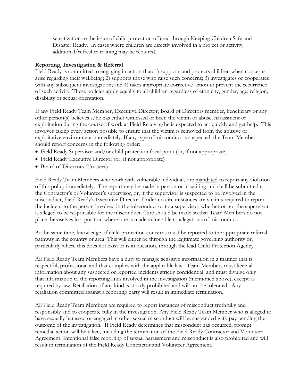sensitization to the issue of child protection offered through Keeping Children Safe and Disaster Ready. In cases where children are directly involved in a project or activity, additional/refresher training may be required.

## **Reporting, Investigation & Referral**

Field Ready is committed to engaging in action that: 1) supports and protects children when concerns arise regarding their wellbeing; 2) supports those who raise such concerns; 3) investigates or cooperates with any subsequent investigation; and 4) takes appropriate corrective action to prevent the recurrence of such activity. These policies apply equally to all children regardless of ethnicity, gender, age, religion, disability or sexual orientation.

If any Field Ready Team Member, Executive Director, Board of Directors member, beneficiary or any other person(s) believes s/he has either witnessed or been the victim of abuse, harassment or exploitation during the course of work at Field Ready, s/he is expected to act quickly and get help. This involves taking every action possible to ensure that the victim is removed from the abusive or exploitative environment immediately. If any type of misconduct is suspected, the Team Member should report concerns in the following order:

- Field Ready Supervisor and/or child protection focal point (or, if not appropriate)
- Field Ready Executive Director (or, if not appropriate)
- Board of Directors (Trustees)

Field Ready Team Members who work with vulnerable individuals are mandated to report any violation of this policy immediately. The report may be made in person or in writing and shall be submitted to the Contractor's or Volunteer's supervisor, or, if the supervisor is suspected to be involved in the misconduct, Field Ready's Executive Director. Under no circumstances are victims required to report the incident to the person involved in the misconduct or to a supervisor, whether or not the supervisor is alleged to be responsible for the misconduct. Care should be made so that Team Members do not place themselves in a position where one is made vulnerable to allegations of misconduct.

At the same time, knowledge of child protection concerns must be reported to the appropriate referral pathway in the country or area. This will either be through the legitimate governing authority or, particularly where this does not exist or is in question, through the lead Child Protection Agency.

All Field Ready Team Members have a duty to manage sensitive information in a manner that is respectful, professional and that complies with the applicable law. Team Members must keep all information about any suspected or reported incidents strictly confidential, and must divulge only that information to the reporting lines involved in the investigation (mentioned above), except as required by law. Retaliation of any kind is strictly prohibited and will not be tolerated. Any retaliation committed against a reporting party will result in immediate termination.

All Field Ready Team Members are required to report instances of misconduct truthfully and responsibly and to cooperate fully in the investigation. Any Field Ready Team Member who is alleged to have sexually harassed or engaged in other sexual misconduct will be suspended with pay pending the outcome of the investigation. If Field Ready determines that misconduct has occurred, prompt remedial action will be taken, including the termination of the Field Ready Contractor and Volunteer Agreement. Intentional false reporting of sexual harassment and misconduct is also prohibited and will result in termination of the Field Ready Contractor and Volunteer Agreement.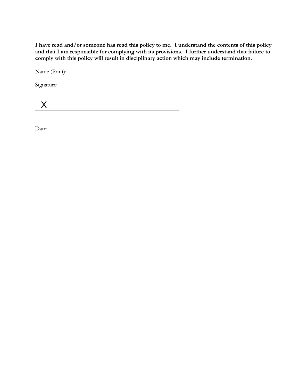**I have read and/or someone has read this policy to me. I understand the contents of this policy and that I am responsible for complying with its provisions. I further understand that failure to comply with this policy will result in disciplinary action which may include termination.** 

Name (Print):

Signature:

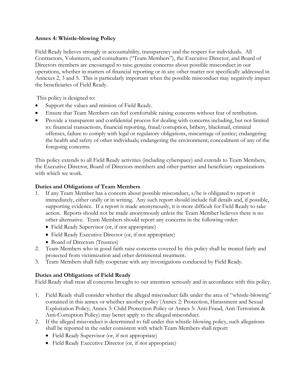## **Annex 4: Whistle-blowing Policy**

Field Ready believes strongly in accountability, transparency and the respect for individuals. All Contractors, Volunteers, and consultants ("Team Members"), the Executive Director, and Board of Directors members are encouraged to raise genuine concerns about possible misconduct in our operations, whether in matters of financial reporting or in any other matter not specifically addressed in Annexes 2, 3 and 5. This is particularly important when the possible misconduct may negatively impact the beneficiaries of Field Ready.

This policy is designed to:

- Support the values and mission of Field Ready.
- Ensure that Team Members can feel comfortable raising concerns without fear of retribution.
- Provide a transparent and confidential process for dealing with concerns including, but not limited to: financial transactions, financial reporting, fraud/corruption, bribery, blackmail, criminal offenses, failure to comply with legal or regulatory obligations, miscarriage of justice; endangering the health and safety of other individuals; endangering the environment; concealment of any of the foregoing concerns.

This policy extends to all Field Ready activities (including cyberspace) and extends to Team Members, the Executive Director, Board of Directors members and other partner and beneficiary organizations with which we work.

## **Duties and Obligations of Team Members**

- 1. If any Team Member has a concern about possible misconduct, s/he is obligated to report it immediately, either orally or in writing. Any such report should include full details and, if possible, supporting evidence. If a report is made anonymously, it is more difficult for Field Ready to take action. Reports should not be made anonymously unless the Team Member believes there is no other alternative. Team Members should report any concerns in the following order:
	- Field Ready Supervisor (or, if not appropriate)
	- Field Ready Executive Director (or, if not appropriate)
	- Board of Directors (Trustees)
- 2. Team Members who in good faith raise concerns covered by this policy shall be treated fairly and protected from victimization and other detrimental treatment.
- 3. Team Members shall fully cooperate with any investigations conducted by Field Ready.

## **Duties and Obligations of Field Ready**

Field Ready shall treat all concerns brought to our attention seriously and in accordance with this policy.

- 1. Field Ready shall consider whether the alleged misconduct falls under the area of "whistle-blowing" contained in this annex or whether another policy (Annex 2: Protection, Harassment and Sexual Exploitation Policy; Annex 3: Child Protection Policy or Annex 5: Anti-Fraud, Anti-Terrorism & Anti-Corruption Policy) may better apply to the alleged misconduct.
- 2. If the alleged misconduct is determined to fall under this whistle-blowing policy, such allegations shall be reported in the order consistent with which Team Members shall report:
	- Field Ready Supervisor (or, if not appropriate)
	- Field Ready Executive Director (or, if not appropriate)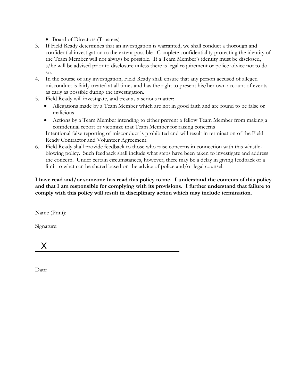- Board of Directors (Trustees)
- 3. If Field Ready determines that an investigation is warranted, we shall conduct a thorough and confidential investigation to the extent possible. Complete confidentiality protecting the identity of the Team Member will not always be possible. If a Team Member's identity must be disclosed, s/he will be advised prior to disclosure unless there is legal requirement or police advice not to do so.
- 4. In the course of any investigation, Field Ready shall ensure that any person accused of alleged misconduct is fairly treated at all times and has the right to present his/her own account of events as early as possible during the investigation.
- 5. Field Ready will investigate, and treat as a serious matter:
	- Allegations made by a Team Member which are not in good faith and are found to be false or malicious
	- Actions by a Team Member intending to either prevent a fellow Team Member from making a confidential report or victimize that Team Member for raising concerns Intentional false reporting of misconduct is prohibited and will result in termination of the Field Ready Contractor and Volunteer Agreement.
- 6. Field Ready shall provide feedback to those who raise concerns in connection with this whistleblowing policy. Such feedback shall include what steps have been taken to investigate and address the concern. Under certain circumstances, however, there may be a delay in giving feedback or a limit to what can be shared based on the advice of police and/or legal counsel.

**I have read and/or someone has read this policy to me. I understand the contents of this policy and that I am responsible for complying with its provisions. I further understand that failure to comply with this policy will result in disciplinary action which may include termination.** 

Name (Print):

Signature:

X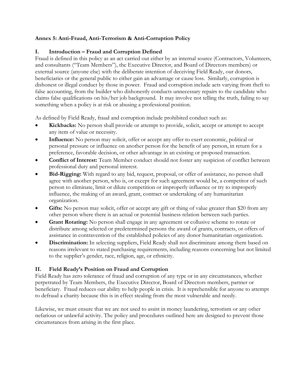## **Annex 5: Anti-Fraud, Anti-Terrorism & Anti-Corruption Policy**

## **I. Introduction – Fraud and Corruption Defined**

Fraud is defined in this policy as an act carried out either by an internal source (Contractors, Volunteers, and consultants ("Team Members"), the Executive Director, and Board of Directors members) or external source (anyone else) with the deliberate intention of deceiving Field Ready, our donors, beneficiaries or the general public to either gain an advantage or cause loss. Similarly, corruption is dishonest or illegal conduct by those in power. Fraud and corruption include acts varying from theft to false accounting, from the builder who dishonestly conducts unnecessary repairs to the candidate who claims false qualifications on his/her job background. It may involve not telling the truth, failing to say something when a policy is at risk or abusing a professional position.

As defined by Field Ready, fraud and corruption include prohibited conduct such as:

- **Kickbacks:** No person shall provide or attempt to provide, solicit, accept or attempt to accept any item of value or necessity.
- **Influence:** No person may solicit, offer or accept any offer to exert economic, political or personal pressure or influence on another person for the benefit of any person, in return for a preference, favorable decision, or other advantage in an existing or proposed transaction.
- **Conflict of Interest:** Team Member conduct should not foster any suspicion of conflict between professional duty and personal interest.
- **Bid-Rigging:** With regard to any bid, request, proposal, or offer of assistance, no person shall agree with another person, who is, or except for such agreement would be, a competitor of such person to eliminate, limit or dilute competition or improperly influence or try to improperly influence, the making of an award, grant, contract or undertaking of any humanitarian organization.
- Gifts: No person may solicit, offer or accept any gift or thing of value greater than \$20 from any other person where there is an actual or potential business relation between such parties.
- **Grant Rotating:** No person shall engage in any agreement or collusive scheme to rotate or distribute among selected or predetermined persons the award of grants, contracts, or offers of assistance in contravention of the established policies of any donor humanitarian organization.
- **Discrimination:** In selecting suppliers, Field Ready shall not discriminate among them based on reasons irrelevant to stated purchasing requirements, including reasons concerning but not limited to the supplier's gender, race, religion, age, or ethnicity.

## **II. Field Ready's Position on Fraud and Corruption**

Field Ready has zero tolerance of fraud and corruption of any type or in any circumstances, whether perpetrated by Team Members, the Executive Director, Board of Directors members, partner or beneficiary. Fraud reduces our ability to help people in crisis. It is reprehensible for anyone to attempt to defraud a charity because this is in effect stealing from the most vulnerable and needy.

Likewise, we must ensure that we are not used to assist in money laundering, terrorism or any other nefarious or unlawful activity. The policy and procedures outlined here are designed to prevent those circumstances from arising in the first place.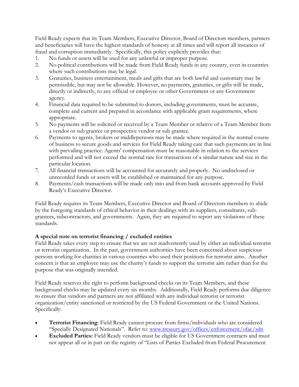Field Ready expects that its Team Members, Executive Director, Board of Directors members, partners and beneficiaries will have the highest standards of honesty at all times and will report all instances of fraud and corruption immediately. Specifically, this policy explicitly provides that:

- 1. No funds or assets will be used for any unlawful or improper purpose.
- 2. No political contributions will be made from Field Ready funds in any country, even in countries where such contributions may be legal.
- 3. Gratuities, business entertainment, meals and gifts that are both lawful and customary may be permissible, but may not be allowable. However, no payments, gratuities, or gifts will be made, directly or indirectly, to any official or employee or other Government or any Government agency.
- 4. Financial data required to be submitted to donors, including governments, must be accurate, complete and current and prepared in accordance with applicable grant requirements, where appropriate.
- 5. No payments will be solicited or received by a Team Member or relative of a Team Member from a vendor or sub grantee or prospective vendor or sub grantee.
- 6. Payments to agents, brokers or middlepersons may be made where required in the normal course of business to secure goods and services for Field Ready taking care that such payments are in line with prevailing practice. Agents' compensation must be reasonable in relation to the services performed and will not exceed the normal rate for transactions of a similar nature and size in the particular location.
- 7. All financial transactions will be accounted for accurately and properly. No undisclosed or unrecorded funds or assets will be established or maintained for any purpose.
- 8. Payments/cash transactions will be made only into and from bank accounts approved by Field Ready's Executive Director.

Field Ready requires its Team Members, Executive Director and Board of Directors members to abide by the foregoing standards of ethical behavior in their dealings with its suppliers, consultants, subgrantees, subcontractors, and governments. Again, they are required to report any violations of these standards.

## **A special note on terrorist financing / excluded entities**

Field Ready takes every step to ensure that we are not inadvertently used by either an individual terrorist or terrorist organization. In the past, government authorities have been concerned about suspicious persons working for charities in various countries who used their positions for terrorist aims. Another concern is that an employee may use the charity's funds to support the terrorist aim rather than for the purpose that was originally intended.

Field Ready reserves the right to perform background checks on its Team Members, and these background checks may be updated every six months. Additionally, Field Ready performs due diligence to ensure that vendors and partners are not affiliated with any individual terrorist or terrorist organization/entity sanctioned or restricted by the US Federal Government or the United Nations. Specifically:

- **Terrorist Financing**: Field Ready cannot procure from firms/individuals who are considered "Specially Designated Nationals". Refer to: [www.treasury.gov/offices/enforcement/ofac/sdn](http://www.treasury.gov/offices/enforcement/ofac/sdn)
- **Excluded Parties:** Field Ready vendors must be eligible for US Government contracts and must not appear all or in part on the registry of "Lists of Parties Excluded from Federal Procurement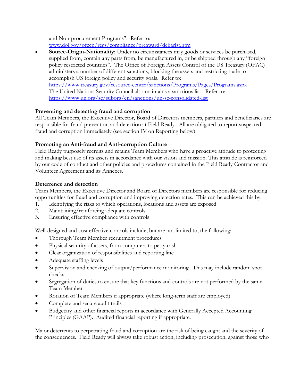and Non-procurement Programs". Refer to: [www.dol.gov/ofccp/regs/compliance/preaward/debarlst.htm](http://www.dol.gov/ofccp/regs/compliance/preaward/debarlst.htm)

 **Source-Origin-Nationality:** Under no circumstances may goods or services be purchased, supplied from, contain any parts from, be manufactured in, or be shipped through any "foreign policy restricted countries". The Office of Foreign Assets Control of the US Treasury (OFAC) administers a number of different sanctions, blocking the assets and restricting trade to accomplish US foreign policy and security goals. Refer to: <https://www.treasury.gov/resource-center/sanctions/Programs/Pages/Programs.aspx> The United Nations Security Council also maintains a sanctions list. Refer to: <https://www.un.org/sc/suborg/en/sanctions/un-sc-consolidated-list>

# **Preventing and detecting fraud and corruption**

All Team Members, the Executive Director, Board of Directors members, partners and beneficiaries are responsible for fraud prevention and detection at Field Ready. All are obligated to report suspected fraud and corruption immediately (see section IV on Reporting below).

# **Promoting an Anti-fraud and Anti-corruption Culture**

Field Ready purposely recruits and retains Team Members who have a proactive attitude to protecting and making best use of its assets in accordance with our vision and mission. This attitude is reinforced by our code of conduct and other policies and procedures contained in the Field Ready Contractor and Volunteer Agreement and its Annexes.

# **Deterrence and detection**

Team Members, the Executive Director and Board of Directors members are responsible for reducing opportunities for fraud and corruption and improving detection rates. This can be achieved this by:

- 1. Identifying the risks to which operations, locations and assets are exposed
- 2. Maintaining/reinforcing adequate controls
- 3. Ensuring effective compliance with controls

Well-designed and cost effective controls include, but are not limited to, the following:

- Thorough Team Member recruitment procedures
- Physical security of assets, from computers to petty cash
- Clear organization of responsibilities and reporting line
- Adequate staffing levels
- Supervision and checking of output/performance monitoring. This may include random spot checks
- Segregation of duties to ensure that key functions and controls are not performed by the same Team Member
- Rotation of Team Members if appropriate (where long-term staff are employed)
- Complete and secure audit trails
- Budgetary and other financial reports in accordance with Generally Accepted Accounting Principles (GAAP). Audited financial reporting if appropriate.

Major deterrents to perpetrating fraud and corruption are the risk of being caught and the severity of the consequences. Field Ready will always take robust action, including prosecution, against those who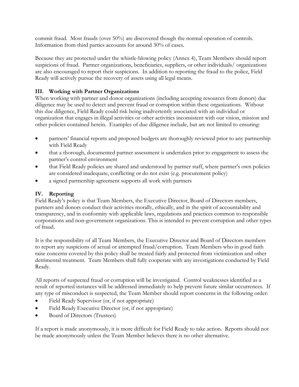commit fraud. Most frauds (over 50%) are discovered though the normal operation of controls. Information from third parties accounts for around 30% of cases.

Because they are protected under the whistle-blowing policy (Annex 4), Team Members should report suspicions of fraud. Partner organizations, beneficiaries, suppliers, or other individuals/ organizations are also encouraged to report their suspicions. In addition to reporting the fraud to the police, Field Ready will actively pursue the recovery of assets using all legal means.

# **III. Working with Partner Organizations**

When working with partner and donor organizations (including accepting resources from donors) due diligence may be used to detect and prevent fraud or corruption within these organizations. Without this due diligence, Field Ready could risk being inadvertently associated with an individual or organization that engages in illegal activities or other activities inconsistent with our vision, mission and other policies contained herein. Examples of due diligence include, but are not limited to ensuring:

- partners' financial reports and proposed budgets are thoroughly reviewed prior to any partnership with Field Ready
- that a thorough, documented partner assessment is undertaken prior to engagement to assess the partner's control environment
- that Field Ready policies are shared and understood by partner staff, where partner's own policies are considered inadequate, conflicting or do not exist (e.g. procurement policy)
- a signed partnership agreement supports all work with partners

# **IV. Reporting**

Field Ready's policy is that Team Members, the Executive Director, Board of Directors members, partners and donors conduct their activities morally, ethically, and in the spirit of accountability and transparency, and in conformity with applicable laws, regulations and practices common to responsible corporations and non-government organizations. This is intended to prevent corruption and other types of fraud.

It is the responsibility of all Team Members, the Executive Director and Board of Directors members to report any suspicions of actual or attempted fraud/corruption. Team Members who in good faith raise concerns covered by this policy shall be treated fairly and protected from victimization and other detrimental treatment. Team Members shall fully cooperate with any investigations conducted by Field Ready.

All reports of suspected fraud or corruption will be investigated. Control weaknesses identified as a result of reported instances will be addressed immediately to help prevent future similar occurrences. If any type of misconduct is suspected, the Team Member should report concerns in the following order:

- Field Ready Supervisor (or, if not appropriate)
- Field Ready Executive Director (or, if not appropriate)
- Board of Directors (Trustees)

If a report is made anonymously, it is more difficult for Field Ready to take action. Reports should not be made anonymously unless the Team Member believes there is no other alternative.